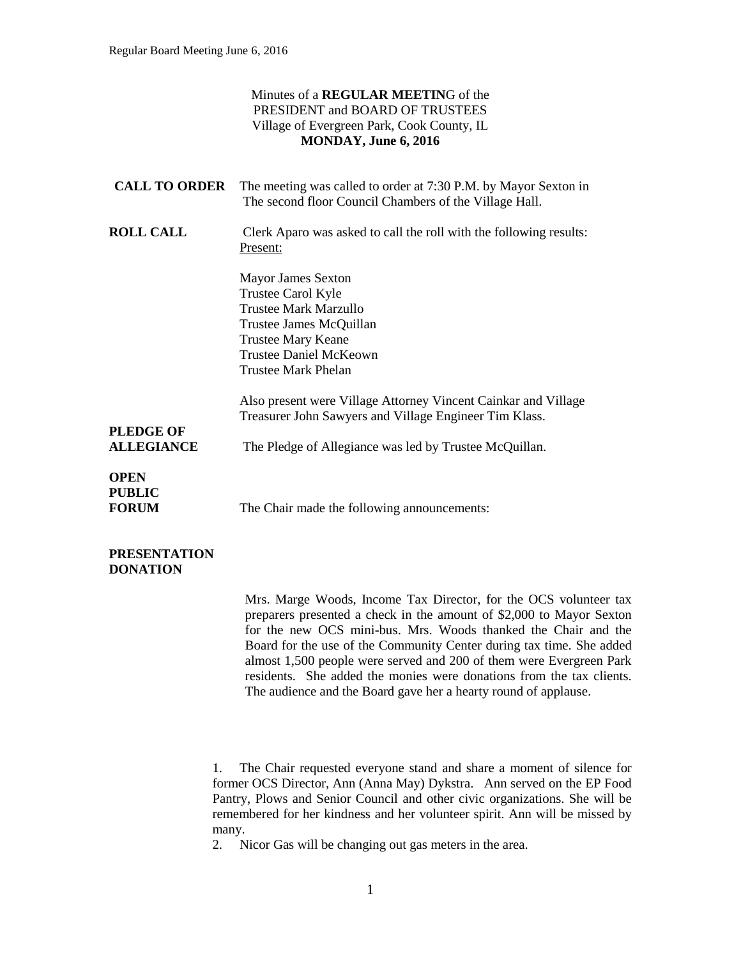## Minutes of a **REGULAR MEETIN**G of the PRESIDENT and BOARD OF TRUSTEES Village of Evergreen Park, Cook County, IL **MONDAY, June 6, 2016**

| <b>CALL TO ORDER</b>                                              | The meeting was called to order at 7:30 P.M. by Mayor Sexton in<br>The second floor Council Chambers of the Village Hall.                                                                              |
|-------------------------------------------------------------------|--------------------------------------------------------------------------------------------------------------------------------------------------------------------------------------------------------|
| <b>ROLL CALL</b>                                                  | Clerk Aparo was asked to call the roll with the following results:<br>Present:                                                                                                                         |
|                                                                   | <b>Mayor James Sexton</b><br>Trustee Carol Kyle<br><b>Trustee Mark Marzullo</b><br>Trustee James McQuillan<br><b>Trustee Mary Keane</b><br><b>Trustee Daniel McKeown</b><br><b>Trustee Mark Phelan</b> |
| <b>PLEDGE OF</b>                                                  | Also present were Village Attorney Vincent Cainkar and Village<br>Treasurer John Sawyers and Village Engineer Tim Klass.                                                                               |
| <b>ALLEGIANCE</b><br><b>OPEN</b><br><b>PUBLIC</b><br><b>FORUM</b> | The Pledge of Allegiance was led by Trustee McQuillan.<br>The Chair made the following announcements:                                                                                                  |

## **PRESENTATION DONATION**

Mrs. Marge Woods, Income Tax Director, for the OCS volunteer tax preparers presented a check in the amount of \$2,000 to Mayor Sexton for the new OCS mini-bus. Mrs. Woods thanked the Chair and the Board for the use of the Community Center during tax time. She added almost 1,500 people were served and 200 of them were Evergreen Park residents. She added the monies were donations from the tax clients. The audience and the Board gave her a hearty round of applause.

1. The Chair requested everyone stand and share a moment of silence for former OCS Director, Ann (Anna May) Dykstra. Ann served on the EP Food Pantry, Plows and Senior Council and other civic organizations. She will be remembered for her kindness and her volunteer spirit. Ann will be missed by many.

2. Nicor Gas will be changing out gas meters in the area.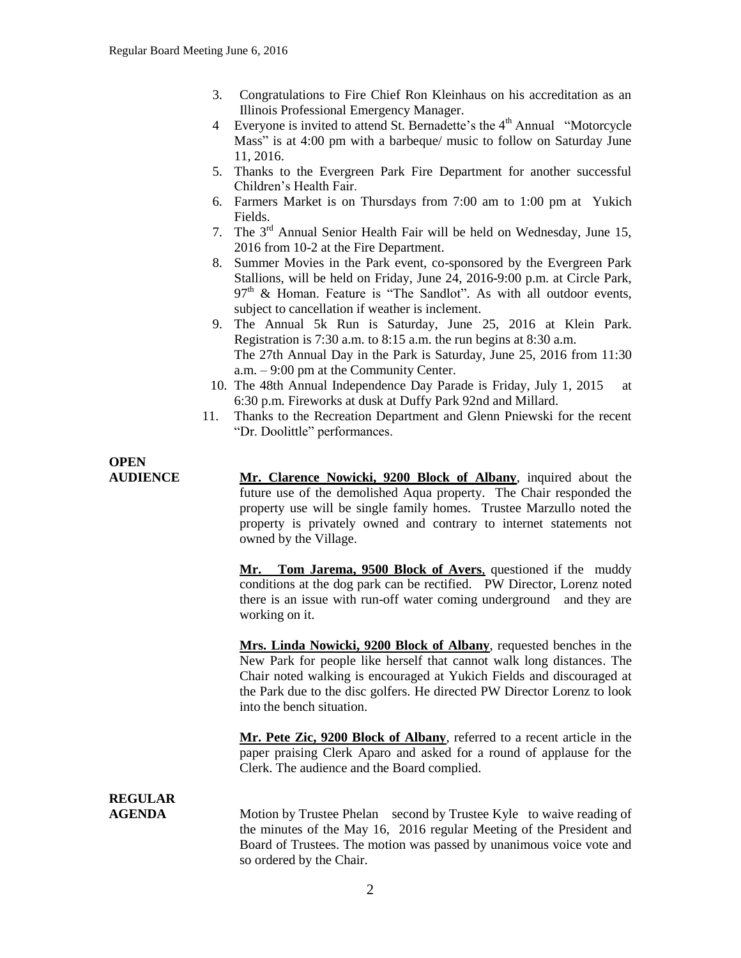- 3. Congratulations to Fire Chief Ron Kleinhaus on his accreditation as an Illinois Professional Emergency Manager.
- 4 Everyone is invited to attend St. Bernadette's the  $4<sup>th</sup>$  Annual "Motorcycle" Mass" is at 4:00 pm with a barbeque/ music to follow on Saturday June 11, 2016.
- 5. Thanks to the Evergreen Park Fire Department for another successful Children's Health Fair.
- 6. Farmers Market is on Thursdays from 7:00 am to 1:00 pm at Yukich Fields.
- 7. The  $3<sup>rd</sup>$  Annual Senior Health Fair will be held on Wednesday, June 15, 2016 from 10-2 at the Fire Department.
- 8. Summer Movies in the Park event, co-sponsored by the Evergreen Park Stallions, will be held on Friday, June 24, 2016-9:00 p.m. at Circle Park, 97<sup>th</sup> & Homan. Feature is "The Sandlot". As with all outdoor events, subject to cancellation if weather is inclement.
- 9. The Annual 5k Run is Saturday, June 25, 2016 at Klein Park. Registration is 7:30 a.m. to 8:15 a.m. the run begins at 8:30 a.m. The 27th Annual Day in the Park is Saturday, June 25, 2016 from 11:30 a.m. – 9:00 pm at the Community Center.
- 10. The 48th Annual Independence Day Parade is Friday, July 1, 2015 at 6:30 p.m. Fireworks at dusk at Duffy Park 92nd and Millard.
- 11. Thanks to the Recreation Department and Glenn Pniewski for the recent "Dr. Doolittle" performances.

# **OPEN**

**AUDIENCE Mr. Clarence Nowicki, 9200 Block of Albany**, inquired about the future use of the demolished Aqua property. The Chair responded the property use will be single family homes. Trustee Marzullo noted the property is privately owned and contrary to internet statements not owned by the Village.

> **Mr. Tom Jarema, 9500 Block of Avers**, questioned if the muddy conditions at the dog park can be rectified. PW Director, Lorenz noted there is an issue with run-off water coming underground and they are working on it.

> **Mrs. Linda Nowicki, 9200 Block of Albany**, requested benches in the New Park for people like herself that cannot walk long distances. The Chair noted walking is encouraged at Yukich Fields and discouraged at the Park due to the disc golfers. He directed PW Director Lorenz to look into the bench situation.

> **Mr. Pete Zic, 9200 Block of Albany**, referred to a recent article in the paper praising Clerk Aparo and asked for a round of applause for the Clerk. The audience and the Board complied.

## **REGULAR**

**AGENDA** Motion by Trustee Phelan second by Trustee Kyle to waive reading of the minutes of the May 16, 2016 regular Meeting of the President and Board of Trustees. The motion was passed by unanimous voice vote and so ordered by the Chair.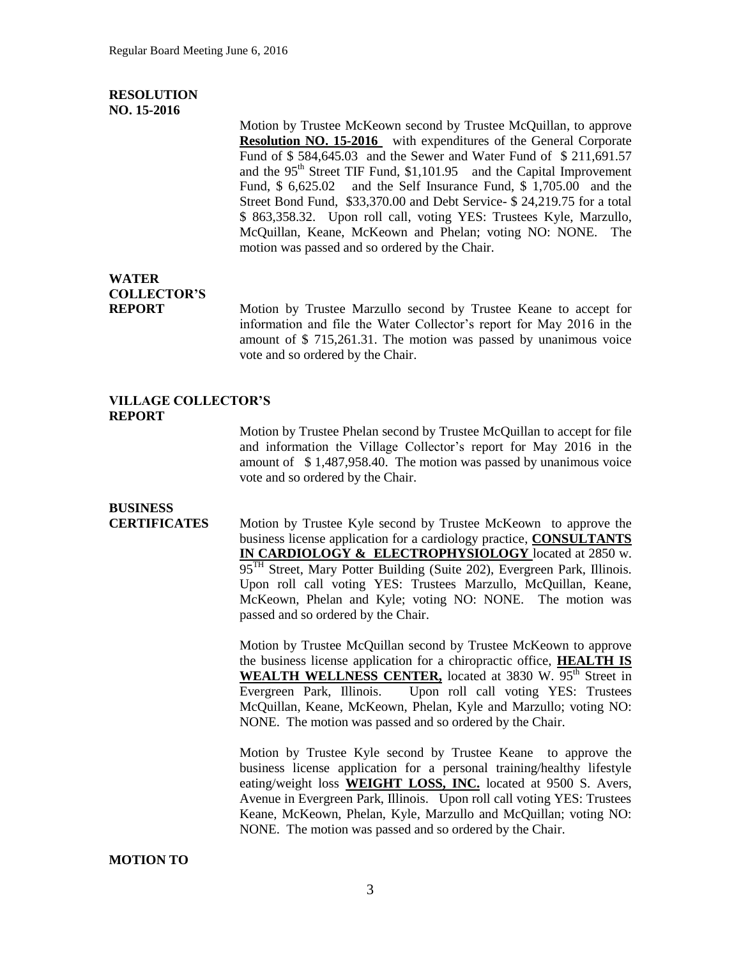#### **RESOLUTION NO. 15-2016**

Motion by Trustee McKeown second by Trustee McQuillan, to approve **Resolution NO. 15-2016** with expenditures of the General Corporate Fund of \$ 584,645.03 and the Sewer and Water Fund of \$ 211,691.57 and the  $95<sup>th</sup>$  Street TIF Fund, \$1,101.95 and the Capital Improvement Fund, \$ 6,625.02 and the Self Insurance Fund, \$ 1,705.00 and the Street Bond Fund, \$33,370.00 and Debt Service- \$ 24,219.75 for a total \$ 863,358.32. Upon roll call, voting YES: Trustees Kyle, Marzullo, McQuillan, Keane, McKeown and Phelan; voting NO: NONE. The motion was passed and so ordered by the Chair.

## **WATER COLLECTOR'S**

**REPORT** Motion by Trustee Marzullo second by Trustee Keane to accept for information and file the Water Collector's report for May 2016 in the amount of \$ 715,261.31. The motion was passed by unanimous voice vote and so ordered by the Chair.

#### **VILLAGE COLLECTOR'S REPORT**

Motion by Trustee Phelan second by Trustee McQuillan to accept for file and information the Village Collector's report for May 2016 in the amount of \$ 1,487,958.40. The motion was passed by unanimous voice vote and so ordered by the Chair.

## **BUSINESS**

**CERTIFICATES** Motion by Trustee Kyle second by Trustee McKeown to approve the business license application for a cardiology practice, **CONSULTANTS IN CARDIOLOGY & ELECTROPHYSIOLOGY** located at 2850 w. 95<sup>TH</sup> Street, Mary Potter Building (Suite 202), Evergreen Park, Illinois. Upon roll call voting YES: Trustees Marzullo, McQuillan, Keane, McKeown, Phelan and Kyle; voting NO: NONE. The motion was passed and so ordered by the Chair.

> Motion by Trustee McQuillan second by Trustee McKeown to approve the business license application for a chiropractic office, **HEALTH IS WEALTH WELLNESS CENTER, located at 3830 W. 95<sup>th</sup> Street in** Evergreen Park, Illinois. Upon roll call voting YES: Trustees McQuillan, Keane, McKeown, Phelan, Kyle and Marzullo; voting NO: NONE. The motion was passed and so ordered by the Chair.

> Motion by Trustee Kyle second by Trustee Keane to approve the business license application for a personal training/healthy lifestyle eating/weight loss **WEIGHT LOSS, INC.** located at 9500 S. Avers, Avenue in Evergreen Park, Illinois. Upon roll call voting YES: Trustees Keane, McKeown, Phelan, Kyle, Marzullo and McQuillan; voting NO: NONE. The motion was passed and so ordered by the Chair.

### **MOTION TO**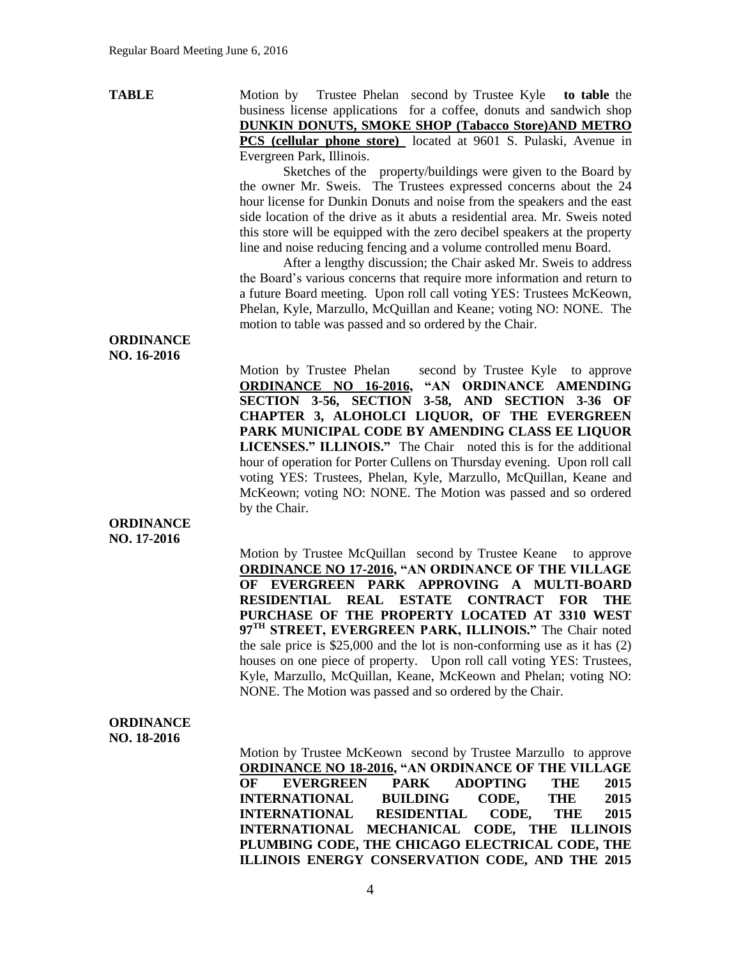**TABLE** Motion by Trustee Phelan second by Trustee Kyle **to table** the business license applications for a coffee, donuts and sandwich shop **DUNKIN DONUTS, SMOKE SHOP (Tabacco Store)AND METRO PCS (cellular phone store)** located at 9601 S. Pulaski, Avenue in Evergreen Park, Illinois.

> Sketches of the property/buildings were given to the Board by the owner Mr. Sweis. The Trustees expressed concerns about the 24 hour license for Dunkin Donuts and noise from the speakers and the east side location of the drive as it abuts a residential area. Mr. Sweis noted this store will be equipped with the zero decibel speakers at the property line and noise reducing fencing and a volume controlled menu Board.

> After a lengthy discussion; the Chair asked Mr. Sweis to address the Board's various concerns that require more information and return to a future Board meeting. Upon roll call voting YES: Trustees McKeown, Phelan, Kyle, Marzullo, McQuillan and Keane; voting NO: NONE. The motion to table was passed and so ordered by the Chair.

#### **ORDINANCE NO. 16-2016**

Motion by Trustee Phelan second by Trustee Kyle to approve **ORDINANCE NO 16-2016, "AN ORDINANCE AMENDING SECTION 3-56, SECTION 3-58, AND SECTION 3-36 OF CHAPTER 3, ALOHOLCI LIQUOR, OF THE EVERGREEN PARK MUNICIPAL CODE BY AMENDING CLASS EE LIQUOR LICENSES." ILLINOIS."** The Chair noted this is for the additional hour of operation for Porter Cullens on Thursday evening. Upon roll call voting YES: Trustees, Phelan, Kyle, Marzullo, McQuillan, Keane and McKeown; voting NO: NONE. The Motion was passed and so ordered by the Chair.

#### **ORDINANCE NO. 17-2016**

Motion by Trustee McQuillan second by Trustee Keane to approve **ORDINANCE NO 17-2016, "AN ORDINANCE OF THE VILLAGE OF EVERGREEN PARK APPROVING A MULTI-BOARD RESIDENTIAL REAL ESTATE CONTRACT FOR THE PURCHASE OF THE PROPERTY LOCATED AT 3310 WEST 97TH STREET, EVERGREEN PARK, ILLINOIS."** The Chair noted the sale price is \$25,000 and the lot is non-conforming use as it has (2) houses on one piece of property. Upon roll call voting YES: Trustees, Kyle, Marzullo, McQuillan, Keane, McKeown and Phelan; voting NO: NONE. The Motion was passed and so ordered by the Chair.

#### **ORDINANCE NO. 18-2016**

Motion by Trustee McKeown second by Trustee Marzullo to approve **ORDINANCE NO 18-2016, "AN ORDINANCE OF THE VILLAGE OF EVERGREEN PARK ADOPTING THE 2015 INTERNATIONAL BUILDING CODE, THE 2015 INTERNATIONAL RESIDENTIAL CODE, THE 2015 INTERNATIONAL MECHANICAL CODE, THE ILLINOIS PLUMBING CODE, THE CHICAGO ELECTRICAL CODE, THE ILLINOIS ENERGY CONSERVATION CODE, AND THE 2015**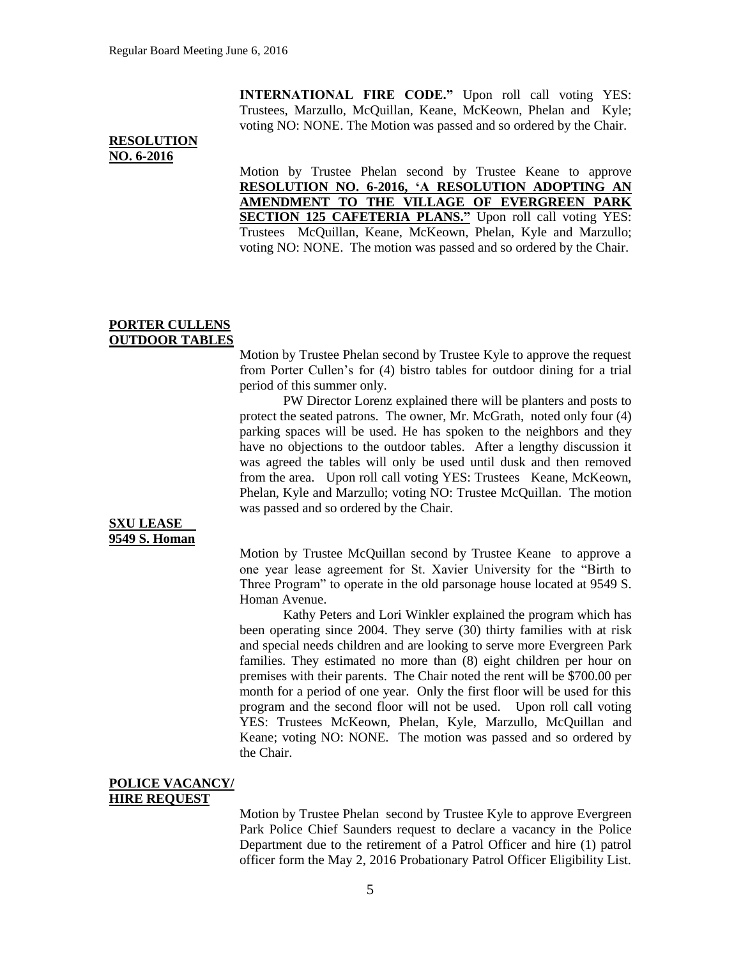**INTERNATIONAL FIRE CODE."** Upon roll call voting YES: Trustees, Marzullo, McQuillan, Keane, McKeown, Phelan and Kyle; voting NO: NONE. The Motion was passed and so ordered by the Chair.

#### **RESOLUTION NO. 6-2016**

Motion by Trustee Phelan second by Trustee Keane to approve **RESOLUTION NO. 6-2016, 'A RESOLUTION ADOPTING AN AMENDMENT TO THE VILLAGE OF EVERGREEN PARK SECTION 125 CAFETERIA PLANS."** Upon roll call voting YES: Trustees McQuillan, Keane, McKeown, Phelan, Kyle and Marzullo; voting NO: NONE. The motion was passed and so ordered by the Chair.

#### **PORTER CULLENS OUTDOOR TABLES**

Motion by Trustee Phelan second by Trustee Kyle to approve the request from Porter Cullen's for (4) bistro tables for outdoor dining for a trial period of this summer only.

PW Director Lorenz explained there will be planters and posts to protect the seated patrons. The owner, Mr. McGrath, noted only four (4) parking spaces will be used. He has spoken to the neighbors and they have no objections to the outdoor tables. After a lengthy discussion it was agreed the tables will only be used until dusk and then removed from the area. Upon roll call voting YES: Trustees Keane, McKeown, Phelan, Kyle and Marzullo; voting NO: Trustee McQuillan. The motion was passed and so ordered by the Chair.

## **SXU LEASE 9549 S. Homan**

Motion by Trustee McQuillan second by Trustee Keane to approve a one year lease agreement for St. Xavier University for the "Birth to Three Program" to operate in the old parsonage house located at 9549 S. Homan Avenue.

Kathy Peters and Lori Winkler explained the program which has been operating since 2004. They serve (30) thirty families with at risk and special needs children and are looking to serve more Evergreen Park families. They estimated no more than (8) eight children per hour on premises with their parents. The Chair noted the rent will be \$700.00 per month for a period of one year. Only the first floor will be used for this program and the second floor will not be used. Upon roll call voting YES: Trustees McKeown, Phelan, Kyle, Marzullo, McQuillan and Keane; voting NO: NONE. The motion was passed and so ordered by the Chair.

#### **POLICE VACANCY/ HIRE REQUEST**

Motion by Trustee Phelan second by Trustee Kyle to approve Evergreen Park Police Chief Saunders request to declare a vacancy in the Police Department due to the retirement of a Patrol Officer and hire (1) patrol officer form the May 2, 2016 Probationary Patrol Officer Eligibility List.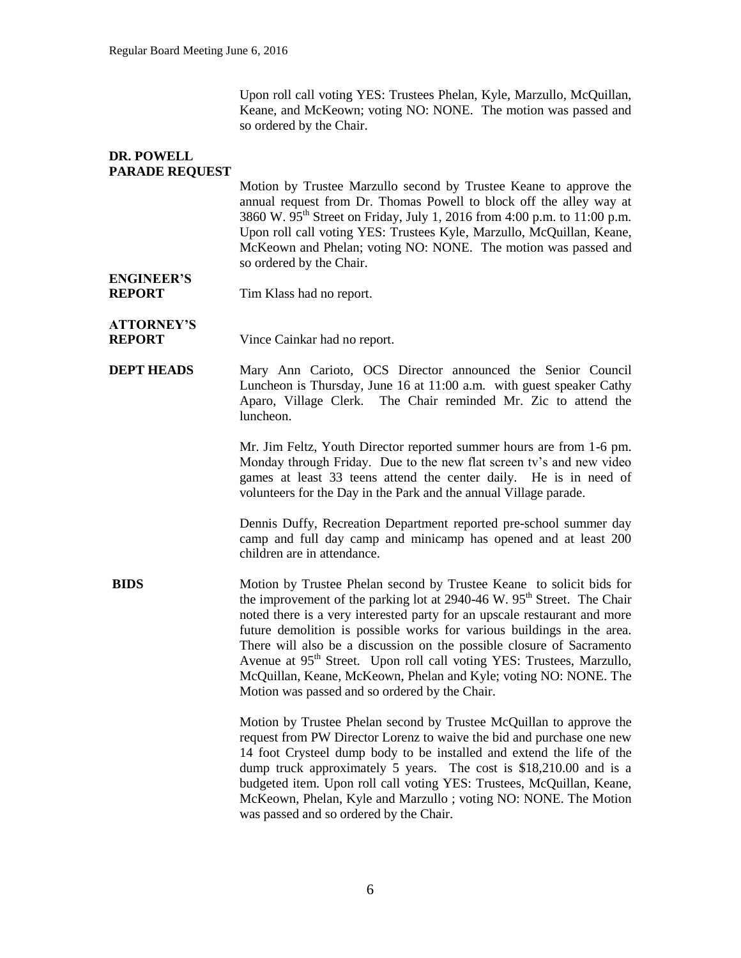Upon roll call voting YES: Trustees Phelan, Kyle, Marzullo, McQuillan, Keane, and McKeown; voting NO: NONE. The motion was passed and so ordered by the Chair.

## **DR. POWELL PARADE REQUEST**

Motion by Trustee Marzullo second by Trustee Keane to approve the annual request from Dr. Thomas Powell to block off the alley way at 3860 W. 95th Street on Friday, July 1, 2016 from 4:00 p.m. to 11:00 p.m. Upon roll call voting YES: Trustees Kyle, Marzullo, McQuillan, Keane, McKeown and Phelan; voting NO: NONE. The motion was passed and so ordered by the Chair.

**ENGINEER'S REPORT** Tim Klass had no report.

# **ATTORNEY'S**

**REPORT** Vince Cainkar had no report.

**DEPT HEADS** Mary Ann Carioto, OCS Director announced the Senior Council Luncheon is Thursday, June 16 at 11:00 a.m. with guest speaker Cathy Aparo, Village Clerk. The Chair reminded Mr. Zic to attend the luncheon.

> Mr. Jim Feltz, Youth Director reported summer hours are from 1-6 pm. Monday through Friday. Due to the new flat screen tv's and new video games at least 33 teens attend the center daily. He is in need of volunteers for the Day in the Park and the annual Village parade.

> Dennis Duffy, Recreation Department reported pre-school summer day camp and full day camp and minicamp has opened and at least 200 children are in attendance.

**BIDS** Motion by Trustee Phelan second by Trustee Keane to solicit bids for the improvement of the parking lot at  $2940-46$  W.  $95<sup>th</sup>$  Street. The Chair noted there is a very interested party for an upscale restaurant and more future demolition is possible works for various buildings in the area. There will also be a discussion on the possible closure of Sacramento Avenue at  $95<sup>th</sup>$  Street. Upon roll call voting YES: Trustees, Marzullo, McQuillan, Keane, McKeown, Phelan and Kyle; voting NO: NONE. The Motion was passed and so ordered by the Chair.

> Motion by Trustee Phelan second by Trustee McQuillan to approve the request from PW Director Lorenz to waive the bid and purchase one new 14 foot Crysteel dump body to be installed and extend the life of the dump truck approximately 5 years. The cost is \$18,210.00 and is a budgeted item. Upon roll call voting YES: Trustees, McQuillan, Keane, McKeown, Phelan, Kyle and Marzullo ; voting NO: NONE. The Motion was passed and so ordered by the Chair.